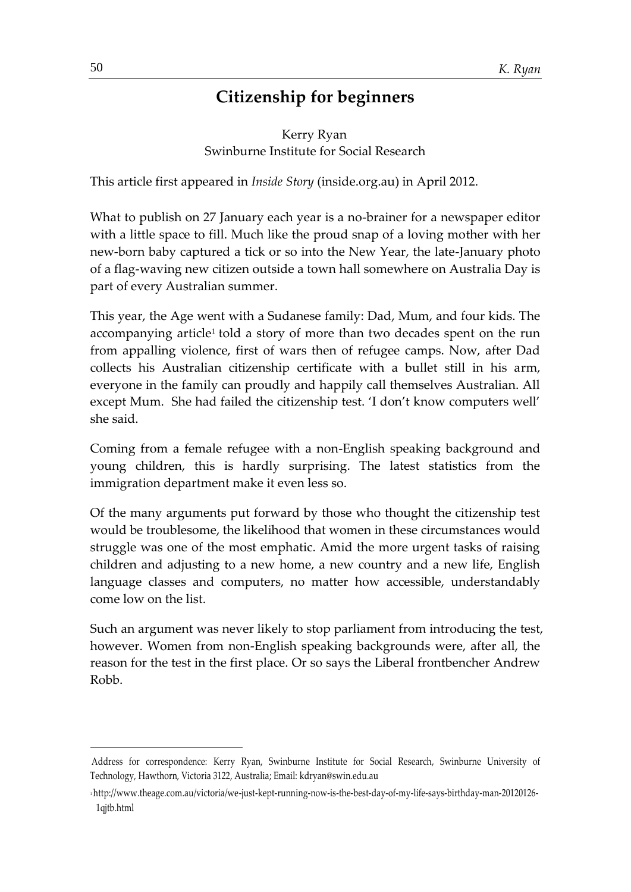# **Citizenship for beginners**

Kerry Ryan Swinburne Institute for Social Research

This article first appeared in *Inside Story* (inside.org.au) in April 2012.

What to publish on 27 January each year is a no-brainer for a newspaper editor with a little space to fill. Much like the proud snap of a loving mother with her new-born baby captured a tick or so into the New Year, the late-January photo of a flag-waving new citizen outside a town hall somewhere on Australia Day is part of every Australian summer.

This year, the Age went with a Sudanese family: Dad, Mum, and four kids. The accompanying article<sup>1</sup> told a story of more than two decades spent on the run from appalling violence, first of wars then of refugee camps. Now, after Dad collects his Australian citizenship certificate with a bullet still in his arm, everyone in the family can proudly and happily call themselves Australian. All except Mum. She had failed the citizenship test. 'I don't know computers well' she said.

Coming from a female refugee with a non-English speaking background and young children, this is hardly surprising. The latest statistics from the immigration department make it even less so.

Of the many arguments put forward by those who thought the citizenship test would be troublesome, the likelihood that women in these circumstances would struggle was one of the most emphatic. Amid the more urgent tasks of raising children and adjusting to a new home, a new country and a new life, English language classes and computers, no matter how accessible, understandably come low on the list.

Such an argument was never likely to stop parliament from introducing the test, however. Women from non-English speaking backgrounds were, after all, the reason for the test in the first place. Or so says the Liberal frontbencher Andrew Robb.

Address for correspondence: Kerry Ryan, Swinburne Institute for Social Research, Swinburne University of Technology, Hawthorn, Victoria 3122, Australia; Email: kdryan@swin.edu.au

<sup>1</sup> http://www.theage.com.au/victoria/we-just-kept-running-now-is-the-best-day-of-my-life-says-birthday-man-20120126- 1qjtb.html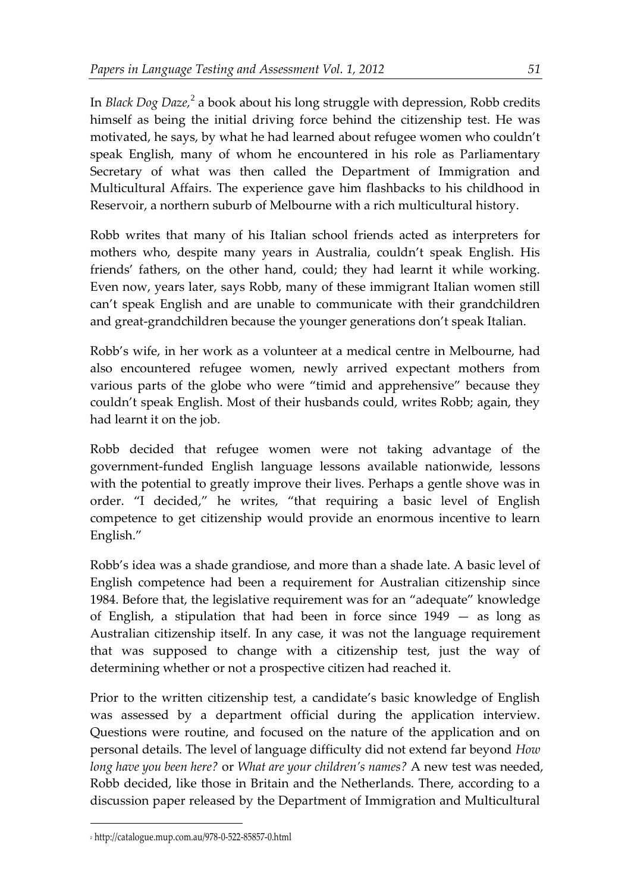In *Black Dog Daze,* 2 a book about his long struggle with depression, Robb credits himself as being the initial driving force behind the citizenship test. He was motivated, he says, by what he had learned about refugee women who couldn't speak English, many of whom he encountered in his role as Parliamentary Secretary of what was then called the Department of Immigration and Multicultural Affairs. The experience gave him flashbacks to his childhood in Reservoir, a northern suburb of Melbourne with a rich multicultural history.

Robb writes that many of his Italian school friends acted as interpreters for mothers who, despite many years in Australia, couldn't speak English. His friends' fathers, on the other hand, could; they had learnt it while working. Even now, years later, says Robb, many of these immigrant Italian women still can't speak English and are unable to communicate with their grandchildren and great-grandchildren because the younger generations don't speak Italian.

Robb's wife, in her work as a volunteer at a medical centre in Melbourne, had also encountered refugee women, newly arrived expectant mothers from various parts of the globe who were "timid and apprehensive" because they couldn't speak English. Most of their husbands could, writes Robb; again, they had learnt it on the job.

Robb decided that refugee women were not taking advantage of the government-funded English language lessons available nationwide, lessons with the potential to greatly improve their lives. Perhaps a gentle shove was in order. "I decided," he writes, "that requiring a basic level of English competence to get citizenship would provide an enormous incentive to learn English."

Robb's idea was a shade grandiose, and more than a shade late. A basic level of English competence had been a requirement for Australian citizenship since 1984. Before that, the legislative requirement was for an "adequate" knowledge of English, a stipulation that had been in force since 1949 — as long as Australian citizenship itself. In any case, it was not the language requirement that was supposed to change with a citizenship test, just the way of determining whether or not a prospective citizen had reached it.

Prior to the written citizenship test, a candidate's basic knowledge of English was assessed by a department official during the application interview. Questions were routine, and focused on the nature of the application and on personal details. The level of language difficulty did not extend far beyond *How long have you been here?* or *What are your children's names?* A new test was needed, Robb decided, like those in Britain and the Netherlands. There, according to a discussion paper released by the Department of Immigration and Multicultural

<sup>2</sup> http://catalogue.mup.com.au/978-0-522-85857-0.html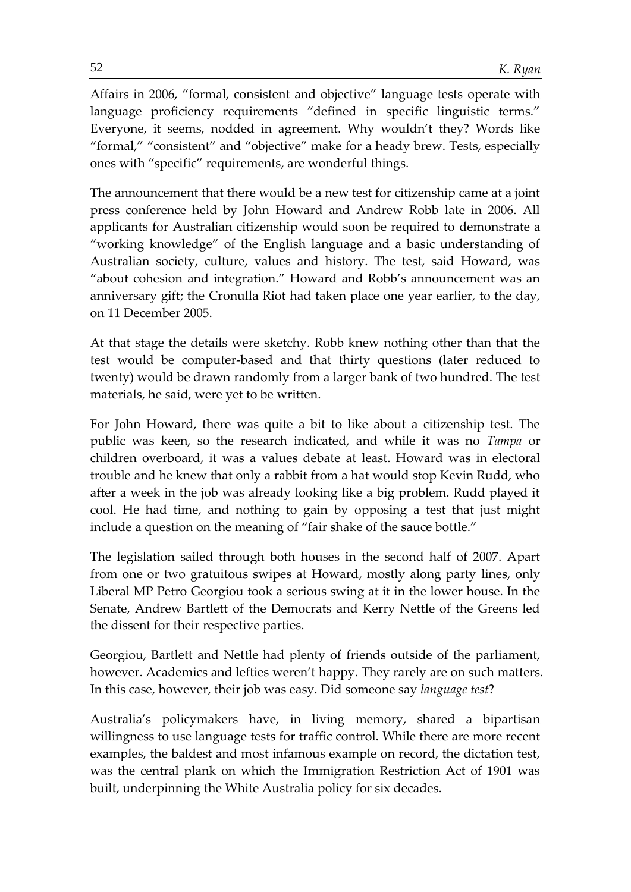Affairs in 2006, "formal, consistent and objective" language tests operate with language proficiency requirements "defined in specific linguistic terms." Everyone, it seems, nodded in agreement. Why wouldn't they? Words like "formal," "consistent" and "objective" make for a heady brew. Tests, especially ones with "specific" requirements, are wonderful things.

The announcement that there would be a new test for citizenship came at a joint press conference held by John Howard and Andrew Robb late in 2006. All applicants for Australian citizenship would soon be required to demonstrate a "working knowledge" of the English language and a basic understanding of Australian society, culture, values and history. The test, said Howard, was "about cohesion and integration." Howard and Robb's announcement was an anniversary gift; the Cronulla Riot had taken place one year earlier, to the day, on 11 December 2005.

At that stage the details were sketchy. Robb knew nothing other than that the test would be computer-based and that thirty questions (later reduced to twenty) would be drawn randomly from a larger bank of two hundred. The test materials, he said, were yet to be written.

For John Howard, there was quite a bit to like about a citizenship test. The public was keen, so the research indicated, and while it was no *Tampa* or children overboard, it was a values debate at least. Howard was in electoral trouble and he knew that only a rabbit from a hat would stop Kevin Rudd, who after a week in the job was already looking like a big problem. Rudd played it cool. He had time, and nothing to gain by opposing a test that just might include a question on the meaning of "fair shake of the sauce bottle."

The legislation sailed through both houses in the second half of 2007. Apart from one or two gratuitous swipes at Howard, mostly along party lines, only Liberal MP Petro Georgiou took a serious swing at it in the lower house. In the Senate, Andrew Bartlett of the Democrats and Kerry Nettle of the Greens led the dissent for their respective parties.

Georgiou, Bartlett and Nettle had plenty of friends outside of the parliament, however. Academics and lefties weren't happy. They rarely are on such matters. In this case, however, their job was easy. Did someone say *language test*?

Australia's policymakers have, in living memory, shared a bipartisan willingness to use language tests for traffic control. While there are more recent examples, the baldest and most infamous example on record, the dictation test, was the central plank on which the Immigration Restriction Act of 1901 was built, underpinning the White Australia policy for six decades.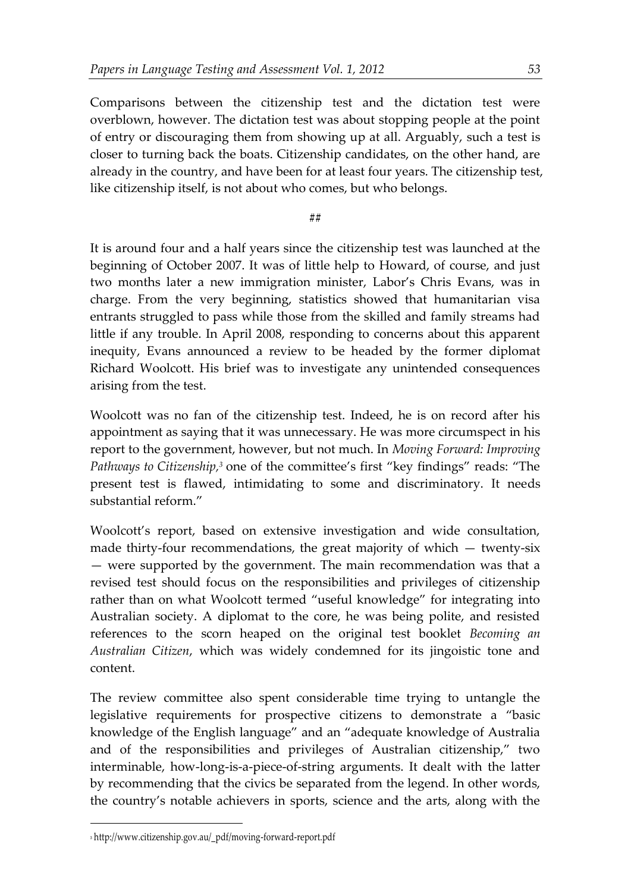Comparisons between the citizenship test and the dictation test were overblown, however. The dictation test was about stopping people at the point of entry or discouraging them from showing up at all. Arguably, such a test is closer to turning back the boats. Citizenship candidates, on the other hand, are already in the country, and have been for at least four years. The citizenship test, like citizenship itself, is not about who comes, but who belongs.

### **##**

It is around four and a half years since the citizenship test was launched at the beginning of October 2007. It was of little help to Howard, of course, and just two months later a new immigration minister, Labor's Chris Evans, was in charge. From the very beginning, statistics showed that humanitarian visa entrants struggled to pass while those from the skilled and family streams had little if any trouble. In April 2008, responding to concerns about this apparent inequity, Evans announced a review to be headed by the former diplomat Richard Woolcott. His brief was to investigate any unintended consequences arising from the test.

Woolcott was no fan of the citizenship test. Indeed, he is on record after his appointment as saying that it was unnecessary. He was more circumspect in his report to the government, however, but not much. In *Moving Forward: Improving Pathways to Citizenship*,<sup>3</sup> one of the committee's first "key findings" reads: "The present test is flawed, intimidating to some and discriminatory. It needs substantial reform."

Woolcott's report, based on extensive investigation and wide consultation, made thirty-four recommendations, the great majority of which — twenty-six — were supported by the government. The main recommendation was that a revised test should focus on the responsibilities and privileges of citizenship rather than on what Woolcott termed "useful knowledge" for integrating into Australian society. A diplomat to the core, he was being polite, and resisted references to the scorn heaped on the original test booklet *Becoming an Australian Citizen*, which was widely condemned for its jingoistic tone and content.

The review committee also spent considerable time trying to untangle the legislative requirements for prospective citizens to demonstrate a "basic knowledge of the English language" and an "adequate knowledge of Australia and of the responsibilities and privileges of Australian citizenship," two interminable, how-long-is-a-piece-of-string arguments. It dealt with the latter by recommending that the civics be separated from the legend. In other words, the country's notable achievers in sports, science and the arts, along with the

<sup>3</sup> http://www.citizenship.gov.au/\_pdf/moving-forward-report.pdf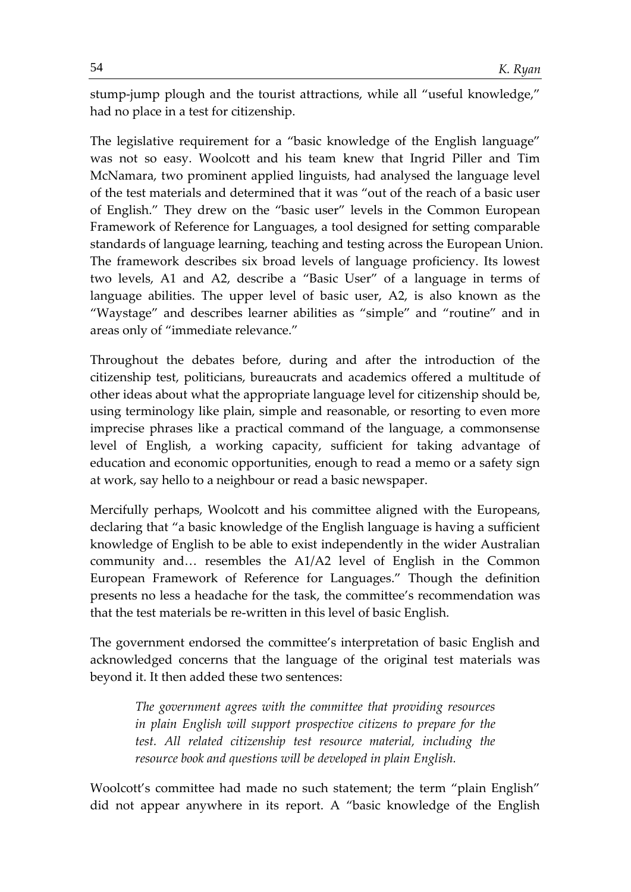stump-jump plough and the tourist attractions, while all "useful knowledge," had no place in a test for citizenship.

The legislative requirement for a "basic knowledge of the English language" was not so easy. Woolcott and his team knew that Ingrid Piller and Tim McNamara, two prominent applied linguists, had analysed the language level of the test materials and determined that it was "out of the reach of a basic user of English." They drew on the "basic user" levels in the Common European Framework of Reference for Languages, a tool designed for setting comparable standards of language learning, teaching and testing across the European Union. The framework describes six broad levels of language proficiency. Its lowest two levels, A1 and A2, describe a "Basic User" of a language in terms of language abilities. The upper level of basic user, A2, is also known as the "Waystage" and describes learner abilities as "simple" and "routine" and in areas only of "immediate relevance."

Throughout the debates before, during and after the introduction of the citizenship test, politicians, bureaucrats and academics offered a multitude of other ideas about what the appropriate language level for citizenship should be, using terminology like plain, simple and reasonable, or resorting to even more imprecise phrases like a practical command of the language, a commonsense level of English, a working capacity, sufficient for taking advantage of education and economic opportunities, enough to read a memo or a safety sign at work, say hello to a neighbour or read a basic newspaper.

Mercifully perhaps, Woolcott and his committee aligned with the Europeans, declaring that "a basic knowledge of the English language is having a sufficient knowledge of English to be able to exist independently in the wider Australian community and… resembles the A1/A2 level of English in the Common European Framework of Reference for Languages." Though the definition presents no less a headache for the task, the committee's recommendation was that the test materials be re-written in this level of basic English.

The government endorsed the committee's interpretation of basic English and acknowledged concerns that the language of the original test materials was beyond it. It then added these two sentences:

*The government agrees with the committee that providing resources in plain English will support prospective citizens to prepare for the test. All related citizenship test resource material, including the resource book and questions will be developed in plain English.*

Woolcott's committee had made no such statement; the term "plain English" did not appear anywhere in its report. A "basic knowledge of the English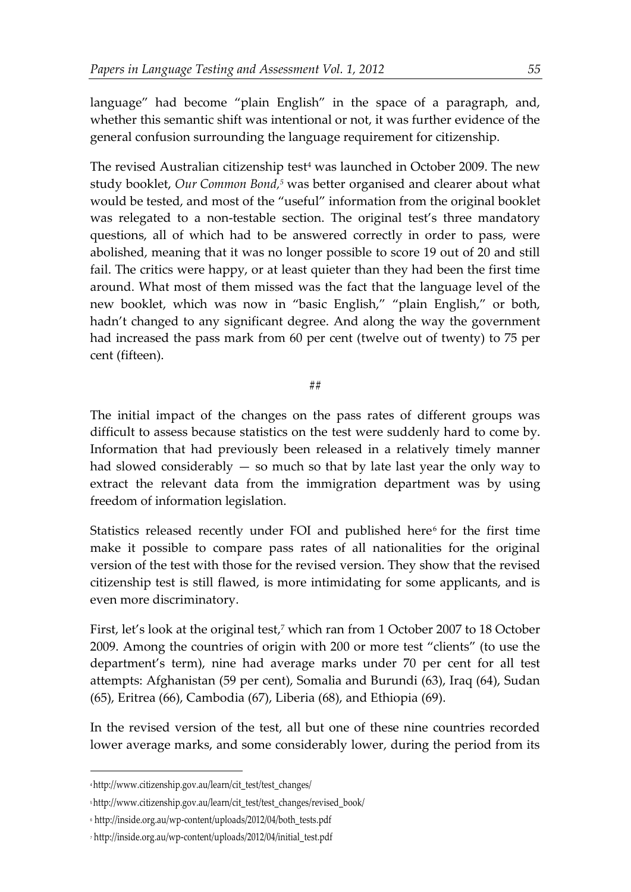language" had become "plain English" in the space of a paragraph, and, whether this semantic shift was intentional or not, it was further evidence of the general confusion surrounding the language requirement for citizenship.

The revised Australian citizenship test<sup>4</sup> was launched in October 2009. The new study booklet, *Our Common Bond, <sup>5</sup>* was better organised and clearer about what would be tested, and most of the "useful" information from the original booklet was relegated to a non-testable section. The original test's three mandatory questions, all of which had to be answered correctly in order to pass, were abolished, meaning that it was no longer possible to score 19 out of 20 and still fail. The critics were happy, or at least quieter than they had been the first time around. What most of them missed was the fact that the language level of the new booklet, which was now in "basic English," "plain English," or both, hadn't changed to any significant degree. And along the way the government had increased the pass mark from 60 per cent (twelve out of twenty) to 75 per cent (fifteen).

#### ##

The initial impact of the changes on the pass rates of different groups was difficult to assess because statistics on the test were suddenly hard to come by. Information that had previously been released in a relatively timely manner had slowed considerably  $-$  so much so that by late last year the only way to extract the relevant data from the immigration department was by using freedom of information legislation.

Statistics released recently under FOI and published here<sup>6</sup> for the first time make it possible to compare pass rates of all nationalities for the original version of the test with those for the revised version. They show that the revised citizenship test is still flawed, is more intimidating for some applicants, and is even more discriminatory.

First, let's look at the original test, <sup>7</sup> which ran from 1 October 2007 to 18 October 2009. Among the countries of origin with 200 or more test "clients" (to use the department's term), nine had average marks under 70 per cent for all test attempts: Afghanistan (59 per cent), Somalia and Burundi (63), Iraq (64), Sudan (65), Eritrea (66), Cambodia (67), Liberia (68), and Ethiopia (69).

In the revised version of the test, all but one of these nine countries recorded lower average marks, and some considerably lower, during the period from its

<sup>4</sup> http://www.citizenship.gov.au/learn/cit\_test/test\_changes/

<sup>5</sup> http://www.citizenship.gov.au/learn/cit\_test/test\_changes/revised\_book/

<sup>6</sup> http://inside.org.au/wp-content/uploads/2012/04/both\_tests.pdf

<sup>7</sup> http://inside.org.au/wp-content/uploads/2012/04/initial\_test.pdf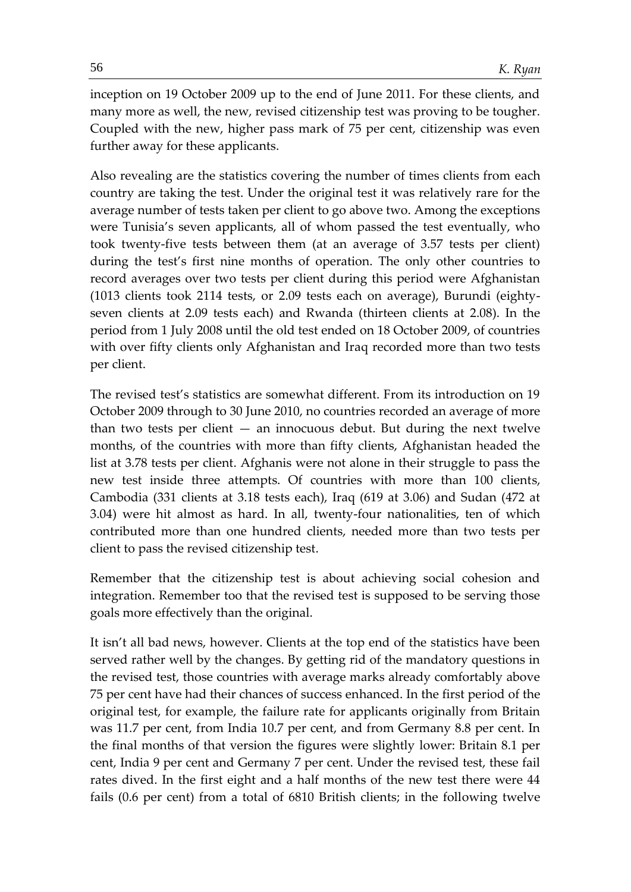inception on 19 October 2009 up to the end of June 2011. For these clients, and many more as well, the new, revised citizenship test was proving to be tougher. Coupled with the new, higher pass mark of 75 per cent, citizenship was even further away for these applicants.

Also revealing are the statistics covering the number of times clients from each country are taking the test. Under the original test it was relatively rare for the average number of tests taken per client to go above two. Among the exceptions were Tunisia's seven applicants, all of whom passed the test eventually, who took twenty-five tests between them (at an average of 3.57 tests per client) during the test's first nine months of operation. The only other countries to record averages over two tests per client during this period were Afghanistan (1013 clients took 2114 tests, or 2.09 tests each on average), Burundi (eightyseven clients at 2.09 tests each) and Rwanda (thirteen clients at 2.08). In the period from 1 July 2008 until the old test ended on 18 October 2009, of countries with over fifty clients only Afghanistan and Iraq recorded more than two tests per client.

The revised test's statistics are somewhat different. From its introduction on 19 October 2009 through to 30 June 2010, no countries recorded an average of more than two tests per client  $-$  an innocuous debut. But during the next twelve months, of the countries with more than fifty clients, Afghanistan headed the list at 3.78 tests per client. Afghanis were not alone in their struggle to pass the new test inside three attempts. Of countries with more than 100 clients, Cambodia (331 clients at 3.18 tests each), Iraq (619 at 3.06) and Sudan (472 at 3.04) were hit almost as hard. In all, twenty-four nationalities, ten of which contributed more than one hundred clients, needed more than two tests per client to pass the revised citizenship test.

Remember that the citizenship test is about achieving social cohesion and integration. Remember too that the revised test is supposed to be serving those goals more effectively than the original.

It isn't all bad news, however. Clients at the top end of the statistics have been served rather well by the changes. By getting rid of the mandatory questions in the revised test, those countries with average marks already comfortably above 75 per cent have had their chances of success enhanced. In the first period of the original test, for example, the failure rate for applicants originally from Britain was 11.7 per cent, from India 10.7 per cent, and from Germany 8.8 per cent. In the final months of that version the figures were slightly lower: Britain 8.1 per cent, India 9 per cent and Germany 7 per cent. Under the revised test, these fail rates dived. In the first eight and a half months of the new test there were 44 fails (0.6 per cent) from a total of 6810 British clients; in the following twelve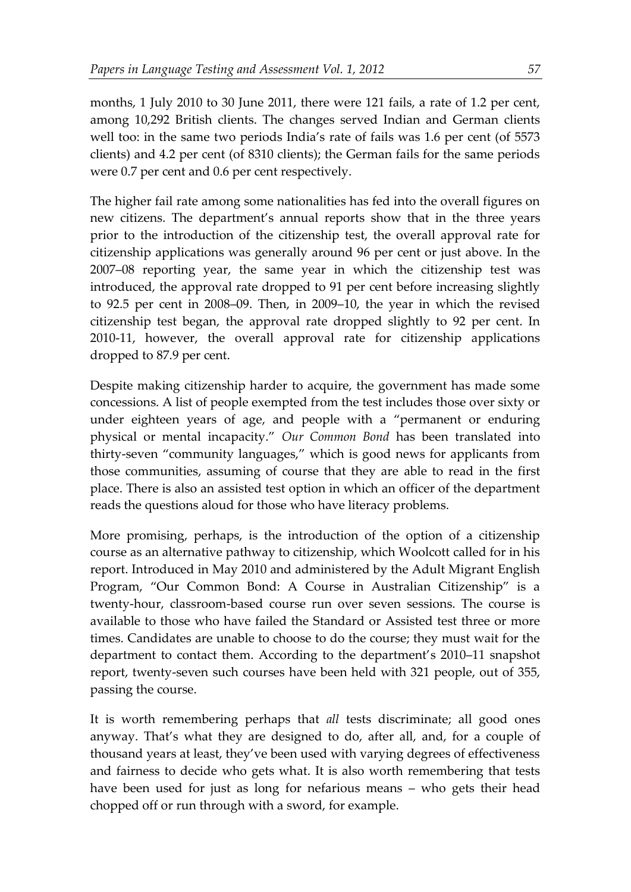months, 1 July 2010 to 30 June 2011, there were 121 fails, a rate of 1.2 per cent, among 10,292 British clients. The changes served Indian and German clients well too: in the same two periods India's rate of fails was 1.6 per cent (of 5573 clients) and 4.2 per cent (of 8310 clients); the German fails for the same periods were 0.7 per cent and 0.6 per cent respectively.

The higher fail rate among some nationalities has fed into the overall figures on new citizens. The department's annual reports show that in the three years prior to the introduction of the citizenship test, the overall approval rate for citizenship applications was generally around 96 per cent or just above. In the 2007–08 reporting year, the same year in which the citizenship test was introduced, the approval rate dropped to 91 per cent before increasing slightly to 92.5 per cent in 2008–09. Then, in 2009–10, the year in which the revised citizenship test began, the approval rate dropped slightly to 92 per cent. In 2010-11, however, the overall approval rate for citizenship applications dropped to 87.9 per cent.

Despite making citizenship harder to acquire, the government has made some concessions. A list of people exempted from the test includes those over sixty or under eighteen years of age, and people with a "permanent or enduring physical or mental incapacity." *Our Common Bond* has been translated into thirty-seven "community languages," which is good news for applicants from those communities, assuming of course that they are able to read in the first place. There is also an assisted test option in which an officer of the department reads the questions aloud for those who have literacy problems.

More promising, perhaps, is the introduction of the option of a citizenship course as an alternative pathway to citizenship, which Woolcott called for in his report. Introduced in May 2010 and administered by the Adult Migrant English Program, "Our Common Bond: A Course in Australian Citizenship" is a twenty-hour, classroom-based course run over seven sessions. The course is available to those who have failed the Standard or Assisted test three or more times. Candidates are unable to choose to do the course; they must wait for the department to contact them. According to the department's 2010–11 snapshot report, twenty-seven such courses have been held with 321 people, out of 355, passing the course.

It is worth remembering perhaps that *all* tests discriminate; all good ones anyway. That's what they are designed to do, after all, and, for a couple of thousand years at least, they've been used with varying degrees of effectiveness and fairness to decide who gets what. It is also worth remembering that tests have been used for just as long for nefarious means – who gets their head chopped off or run through with a sword, for example.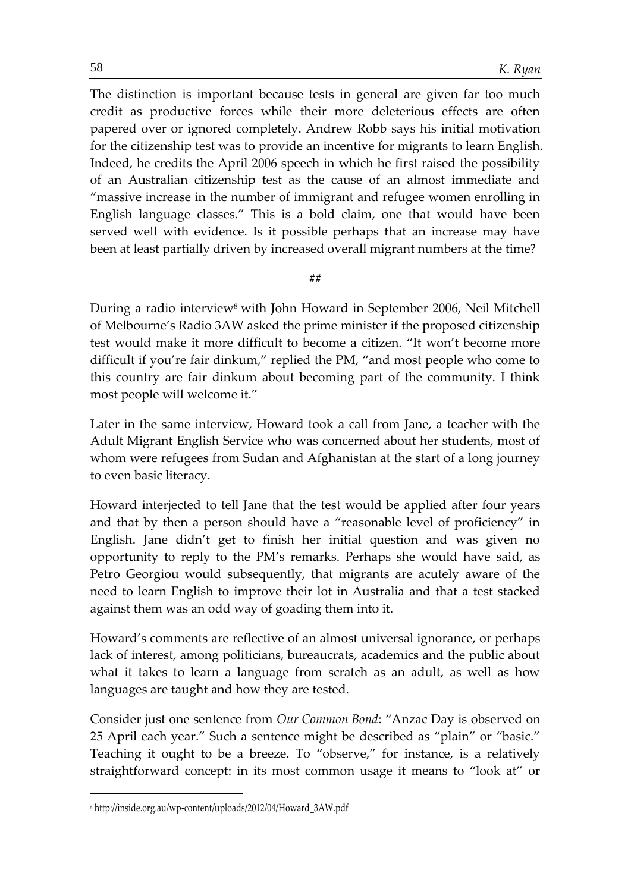The distinction is important because tests in general are given far too much credit as productive forces while their more deleterious effects are often papered over or ignored completely. Andrew Robb says his initial motivation for the citizenship test was to provide an incentive for migrants to learn English. Indeed, he credits the April 2006 speech in which he first raised the possibility of an Australian citizenship test as the cause of an almost immediate and "massive increase in the number of immigrant and refugee women enrolling in English language classes." This is a bold claim, one that would have been served well with evidence. Is it possible perhaps that an increase may have been at least partially driven by increased overall migrant numbers at the time?

#### **##**

During a radio interview<sup>8</sup> with John Howard in September 2006, Neil Mitchell of Melbourne's Radio 3AW asked the prime minister if the proposed citizenship test would make it more difficult to become a citizen. "It won't become more difficult if you're fair dinkum," replied the PM, "and most people who come to this country are fair dinkum about becoming part of the community. I think most people will welcome it."

Later in the same interview, Howard took a call from Jane, a teacher with the Adult Migrant English Service who was concerned about her students, most of whom were refugees from Sudan and Afghanistan at the start of a long journey to even basic literacy.

Howard interjected to tell Jane that the test would be applied after four years and that by then a person should have a "reasonable level of proficiency" in English. Jane didn't get to finish her initial question and was given no opportunity to reply to the PM's remarks. Perhaps she would have said, as Petro Georgiou would subsequently, that migrants are acutely aware of the need to learn English to improve their lot in Australia and that a test stacked against them was an odd way of goading them into it.

Howard's comments are reflective of an almost universal ignorance, or perhaps lack of interest, among politicians, bureaucrats, academics and the public about what it takes to learn a language from scratch as an adult, as well as how languages are taught and how they are tested.

Consider just one sentence from *Our Common Bond*: "Anzac Day is observed on 25 April each year." Such a sentence might be described as "plain" or "basic." Teaching it ought to be a breeze. To "observe," for instance, is a relatively straightforward concept: in its most common usage it means to "look at" or

1

<sup>8</sup> http://inside.org.au/wp-content/uploads/2012/04/Howard\_3AW.pdf